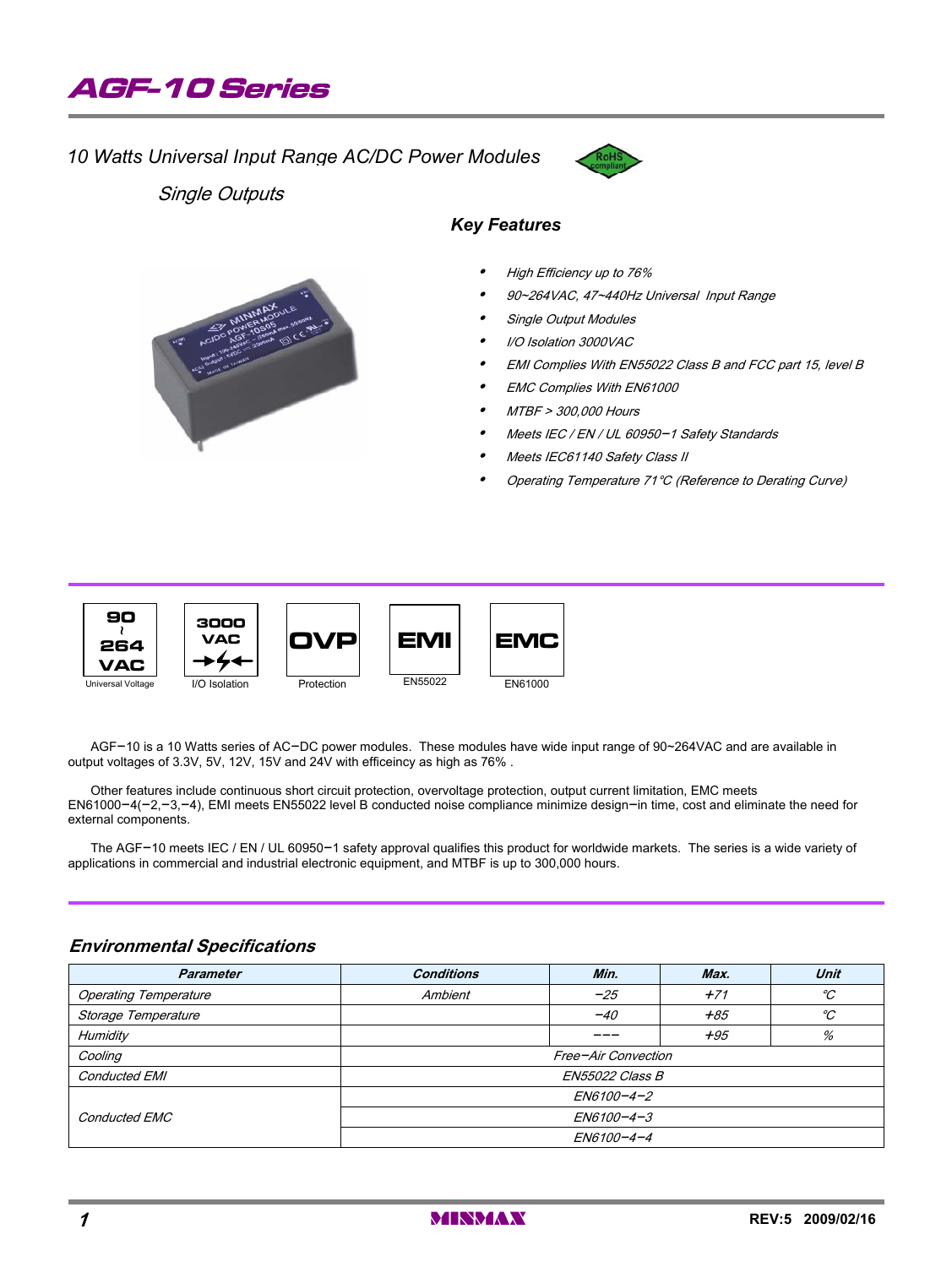

### *10 Watts Universal Input Range AC/DC Power Modules*



Single Outputs

#### *Key Features*

- $\bullet$ High Efficiency up to 76%
- $\bullet$ 90~264VAC, 47~440Hz Universal Input Range
- $\bullet$ Single Output Modules
- $\bullet$ I/O Isolation 3000VAC
- $\bullet$ EMI Complies With EN55022 Class B and FCC part 15, level B
- $\bullet$ EMC Complies With EN61000
- $\bullet$ MTBF > 300,000 Hours
- $\bullet$ Meets IEC / EN / UL 60950-1 Safety Standards
- $\bullet$ Meets IEC61140 Safety Class II
- $\bullet$ Operating Temperature 71°C (Reference to Derating Curve)



AGF-10 is a 10 Watts series of AC-DC power modules. These modules have wide input range of 90~264VAC and are available in output voltages of 3.3V, 5V, 12V, 15V and 24V with efficeincy as high as 76% .

Other features include continuous short circuit protection, overvoltage protection, output current limitation, EMC meets EN61000-4(-2,-3,-4), EMI meets EN55022 level B conducted noise compliance minimize design-in time, cost and eliminate the need for external components.

The AGF-10 meets IEC / EN / UL 60950-1 safety approval qualifies this product for worldwide markets. The series is a wide variety of applications in commercial and industrial electronic equipment, and MTBF is up to 300,000 hours.

#### EN6100-4-4 EN6100-4-3 EN6100-4-2 Conducted EMC Conducted EMI ENSEQUENT CONDUCTER SERVICES AND ENSEQUENT BELOCATE SERVICES BY A SERVICE SERVICE SERVICE SERVICES B Cooling Free-Air Convection Humidity --- +95 % Storage Temperature -40 +85 ] Operating Temperature  $\begin{array}{ccc} \sim & \sim & \sim & \sim \end{array}$  Ambient  $\begin{array}{ccc} -25 & & \sim & \sim & \sim \end{array}$ **Parameter Conditions Min. Max. Unit**

#### **Environmental Specifications**

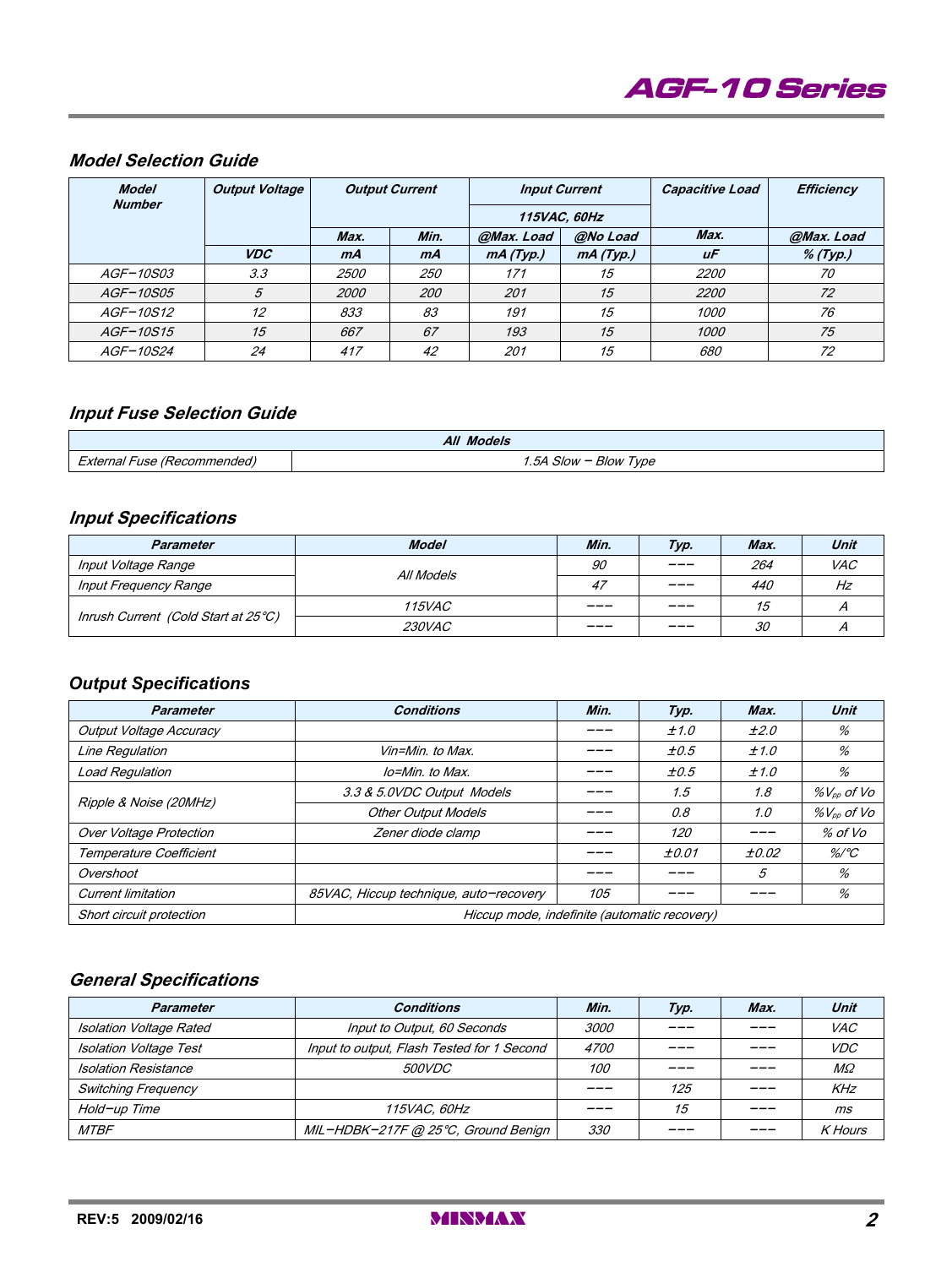

# **Model Selection Guide**

| <b>Model</b><br><b>Number</b> | <b>Output Voltage</b> | <b>Output Current</b> |            | <b>Input Current</b> |          | <b>Capacitive Load</b> | Efficiency |
|-------------------------------|-----------------------|-----------------------|------------|----------------------|----------|------------------------|------------|
|                               |                       |                       |            | 115VAC, 60Hz         |          |                        |            |
|                               |                       | Max.                  | Min.       | @Max. Load           | @No Load | Max.                   | @Max. Load |
|                               | <b>VDC</b>            | mA                    | mA         | mA(Typ.)             | mA(Typ.) | uF                     | $%$ (Typ.) |
| <i>AGF-10S03</i>              | 3.3                   | <i>2500</i>           | <i>250</i> | 171                  | 15       | <i>2200</i>            | 70         |
| <i>AGF-10S05</i>              | 5                     | <i>2000</i>           | 200        | 201                  | 15       | 2200                   | 72         |
| <i>AGF-10S12</i>              | 12                    | 833                   | 83         | 191                  | 15       | <i>1000</i>            | 76         |
| <i>AGF-10S15</i>              | 15                    | 667                   | 67         | 193                  | 15       | 1000                   | 75         |
| AGF-10S24                     | 24                    | 417                   | 42         | 201                  | 15       | 680                    | 72         |

#### **Input Fuse Selection Guide**

| <b>All Models</b>           |                       |  |  |
|-----------------------------|-----------------------|--|--|
| External Fuse (Recommended) | 1.5A Slow - Blow Type |  |  |

#### **Input Specifications**

| Parameter                           | <b>Model</b>  | Min. | Typ.    | Max. | Unit       |
|-------------------------------------|---------------|------|---------|------|------------|
| Input Voltage Range                 | All Models    | 90   | ___     | 264  | <b>VAC</b> |
| Input Frequency Range               |               | 47   | $ -$    | 440  | Hz         |
| Inrush Current (Cold Start at 25°C) | <i>115VAC</i> | ---- | ___     | 15   |            |
|                                     | <i>230VAC</i> | ---- | $- - -$ | 30   |            |

# *Output Specifications*

| <b>Parameter</b>               | <b>Conditions</b>                            | Min. | Typ.  | Max.  | Unit             |
|--------------------------------|----------------------------------------------|------|-------|-------|------------------|
| <b>Output Voltage Accuracy</b> |                                              |      | ±1.0  | ±2.0  | %                |
| Line Regulation                | Vin=Min. to Max.                             |      | ±0.5  | ±1.0  | %                |
| <b>Load Regulation</b>         | lo=Min. to Max.                              |      | ±0.5  | ±1.0  | %                |
| Ripple & Noise (20MHz)         | 3.3 & 5.0VDC Output Models                   |      | 1.5   | 1.8   | $\%V_{op}$ of Vo |
|                                | <b>Other Output Models</b>                   |      | 0.8   | 1.0   | $\%V_{op}$ of Vo |
| <b>Over Voltage Protection</b> | Zener diode clamp                            |      | 120   |       | % of Vo          |
| Temperature Coefficient        |                                              |      | ±0.01 | ±0.02 | $\%$ /°C         |
| Overshoot                      |                                              |      |       | 5     | %                |
| <b>Current limitation</b>      | 85VAC, Hiccup technique, auto-recovery       | 105  |       |       | %                |
| Short circuit protection       | Hiccup mode, indefinite (automatic recovery) |      |       |       |                  |

# **General Specifications**

| <b>Parameter</b>              | <b>Conditions</b>                          | Min.        | Typ. | Max. | Unit           |
|-------------------------------|--------------------------------------------|-------------|------|------|----------------|
| Isolation Voltage Rated       | Input to Output, 60 Seconds<br><i>3000</i> |             |      |      | <i>VAC</i>     |
| <b>Isolation Voltage Test</b> | Input to output, Flash Tested for 1 Second | <i>4700</i> | ---  |      | <i>VDC</i>     |
| <b>Isolation Resistance</b>   | <i>500VDC</i>                              | <i>100</i>  |      |      | $M\Omega$      |
| <b>Switching Frequency</b>    |                                            |             | 125  |      | KHz            |
| Hold-up Time                  | <i><b>115VAC, 60Hz</b></i>                 |             | 15   |      | ms             |
| <b>MTBF</b>                   | MIL-HDBK-217F @ 25°C, Ground Benign        | 330         |      |      | <b>K</b> Hours |

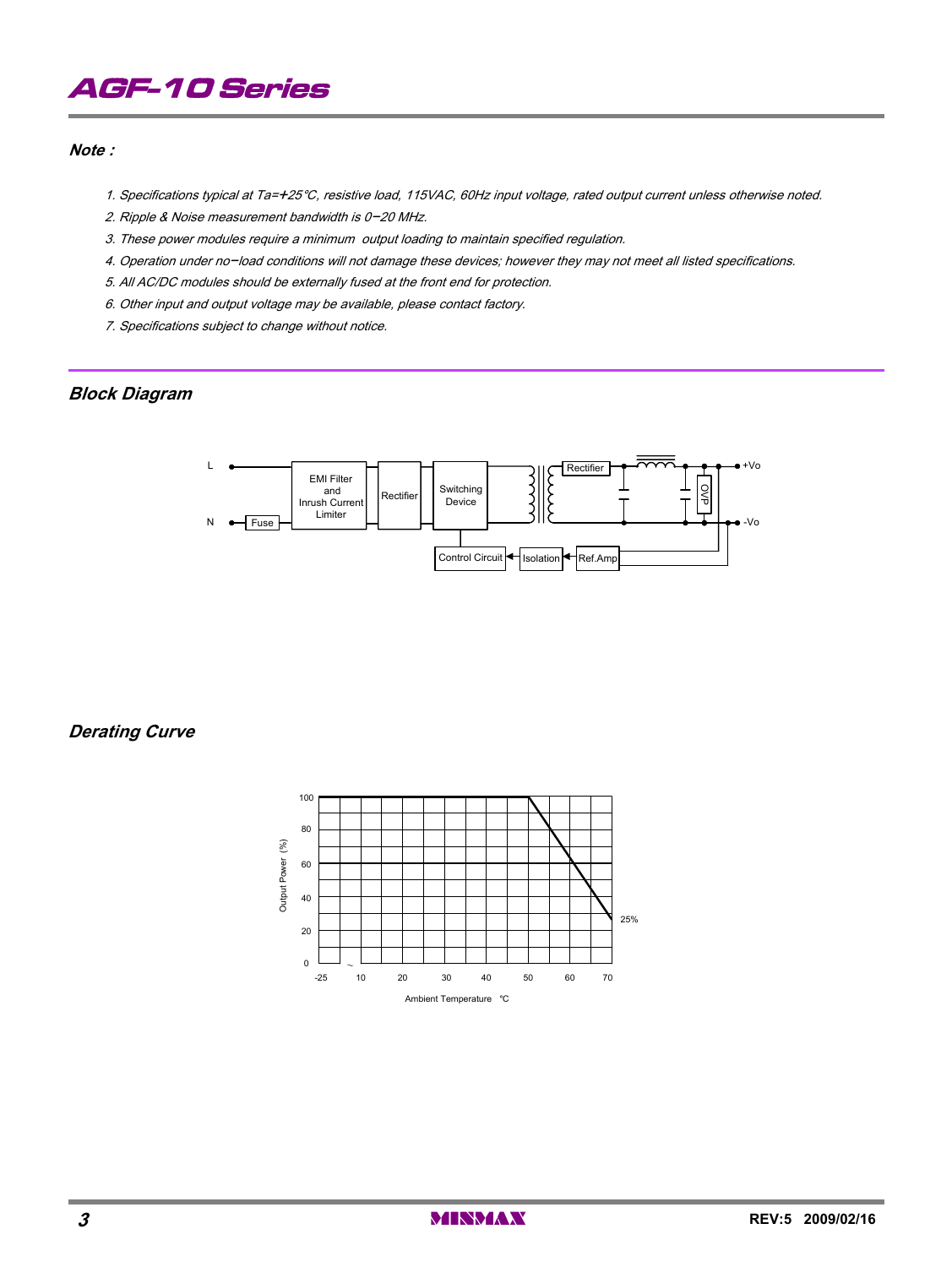# AGF-10 Series

#### **Note :**

- 1. Specifications typical at Ta=+25°C, resistive load, 115VAC, 60Hz input voltage, rated output current unless otherwise noted.
- 2. Ripple & Noise measurement bandwidth is 0-20 MHz.
- 3. These power modules require a minimum output loading to maintain specified regulation.
- 4. Operation under no-load conditions will not damage these devices; however they may not meet all listed specifications.
- 5. All AC/DC modules should be externally fused at the front end for protection.
- 6. Other input and output voltage may be available, please contact factory.
- 7. Specifications subject to change without notice.

#### **Block Diagram**



**Derating Curve**